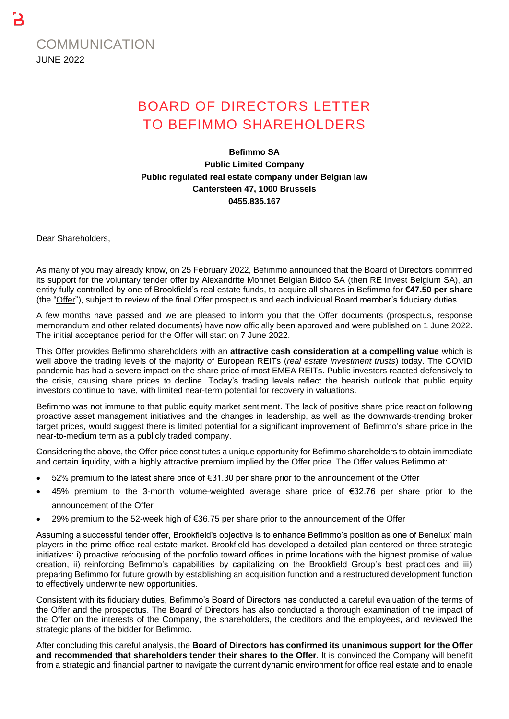

# BOARD OF DIRECTORS LETTER TO BEFIMMO SHAREHOLDERS

## **Befimmo SA Public Limited Company Public regulated real estate company under Belgian law Cantersteen 47, 1000 Brussels 0455.835.167**

Dear Shareholders,

As many of you may already know, on 25 February 2022, Befimmo announced that the Board of Directors confirmed its support for the voluntary tender offer by Alexandrite Monnet Belgian Bidco SA (then RE Invest Belgium SA), an entity fully controlled by one of Brookfield's real estate funds, to acquire all shares in Befimmo for **€47.50 per share** (the "Offer"), subject to review of the final Offer prospectus and each individual Board member's fiduciary duties.

A few months have passed and we are pleased to inform you that the Offer documents (prospectus, response memorandum and other related documents) have now officially been approved and were published on 1 June 2022. The initial acceptance period for the Offer will start on 7 June 2022.

This Offer provides Befimmo shareholders with an **attractive cash consideration at a compelling value** which is well above the trading levels of the majority of European REITs (*real estate investment trusts*) today. The COVID pandemic has had a severe impact on the share price of most EMEA REITs. Public investors reacted defensively to the crisis, causing share prices to decline. Today's trading levels reflect the bearish outlook that public equity investors continue to have, with limited near-term potential for recovery in valuations.

Befimmo was not immune to that public equity market sentiment. The lack of positive share price reaction following proactive asset management initiatives and the changes in leadership, as well as the downwards-trending broker target prices, would suggest there is limited potential for a significant improvement of Befimmo's share price in the near-to-medium term as a publicly traded company.

Considering the above, the Offer price constitutes a unique opportunity for Befimmo shareholders to obtain immediate and certain liquidity, with a highly attractive premium implied by the Offer price. The Offer values Befimmo at:

- 52% premium to the latest share price of €31.30 per share prior to the announcement of the Offer
- 45% premium to the 3-month volume-weighted average share price of €32.76 per share prior to the announcement of the Offer
- 29% premium to the 52-week high of €36.75 per share prior to the announcement of the Offer

Assuming a successful tender offer, Brookfield's objective is to enhance Befimmo's position as one of Benelux' main players in the prime office real estate market. Brookfield has developed a detailed plan centered on three strategic initiatives: i) proactive refocusing of the portfolio toward offices in prime locations with the highest promise of value creation, ii) reinforcing Befimmo's capabilities by capitalizing on the Brookfield Group's best practices and iii) preparing Befimmo for future growth by establishing an acquisition function and a restructured development function to effectively underwrite new opportunities.

Consistent with its fiduciary duties, Befimmo's Board of Directors has conducted a careful evaluation of the terms of the Offer and the prospectus. The Board of Directors has also conducted a thorough examination of the impact of the Offer on the interests of the Company, the shareholders, the creditors and the employees, and reviewed the strategic plans of the bidder for Befimmo.

After concluding this careful analysis, the **Board of Directors has confirmed its unanimous support for the Offer and recommended that shareholders tender their shares to the Offer**. It is convinced the Company will benefit from a strategic and financial partner to navigate the current dynamic environment for office real estate and to enable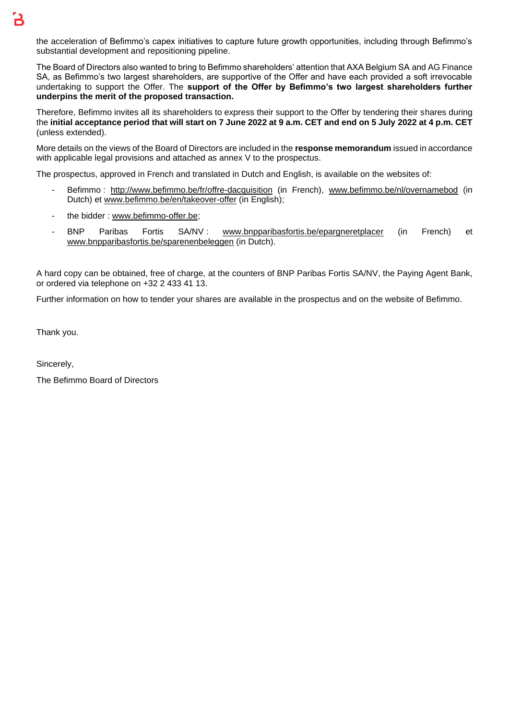The Board of Directors also wanted to bring to Befimmo shareholders' attention that AXA Belgium SA and AG Finance SA, as Befimmo's two largest shareholders, are supportive of the Offer and have each provided a soft irrevocable undertaking to support the Offer. The **support of the Offer by Befimmo's two largest shareholders further underpins the merit of the proposed transaction.**

Therefore, Befimmo invites all its shareholders to express their support to the Offer by tendering their shares during the **initial acceptance period that will start on 7 June 2022 at 9 a.m. CET and end on 5 July 2022 at 4 p.m. CET** (unless extended).

More details on the views of the Board of Directors are included in the **response memorandum** issued in accordance with applicable legal provisions and attached as annex V to the prospectus.

The prospectus, approved in French and translated in Dutch and English, is available on the websites of:

- Befimmo: <http://www.befimmo.be/fr/offre-dacquisition> (in French), [www.befimmo.be/nl/overnamebod](http://www.befimmo.be/nl/overnamebod) (in Dutch) et [www.befimmo.be/en/takeover-offer](http://www.befimmo.be/en/takeover-offer) (in English);
- the bidder : [www.befimmo-offer.be;](http://www.befimmo-offer.be/)
- BNP Paribas Fortis SA/NV : [www.bnpparibasfortis.be/epargneretplacer](http://www.bnpparibasfortis.be/epargneretplacer) (in French) et [www.bnpparibasfortis.be/sparenenbeleggen](http://www.bnpparibasfortis.be/sparenenbeleggen) (in Dutch).

A hard copy can be obtained, free of charge, at the counters of BNP Paribas Fortis SA/NV, the Paying Agent Bank, or ordered via telephone on +32 2 433 41 13.

Further information on how to tender your shares are available in the prospectus and on the website of Befimmo.

Thank you.

Sincerely,

The Befimmo Board of Directors